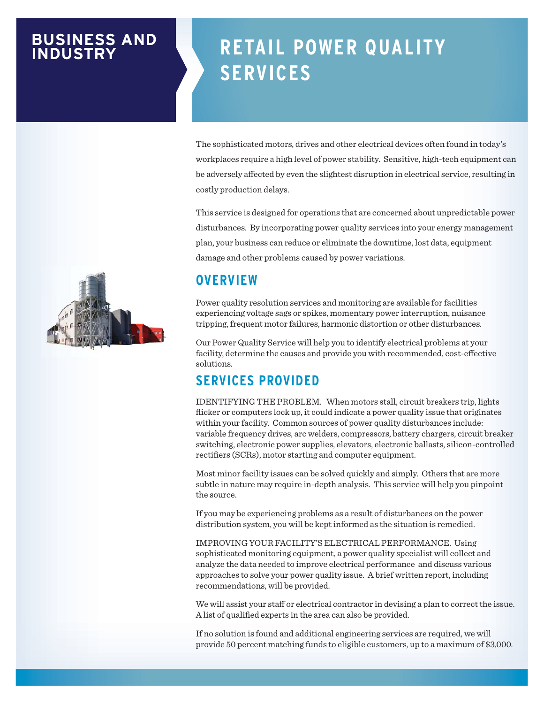## **BUSINESS AND INDUSTRY**

# **RETAIL POWER QUALITY SERVICES**

The sophisticated motors, drives and other electrical devices often found in today's workplaces require a high level of power stability. Sensitive, high-tech equipment can be adversely affected by even the slightest disruption in electrical service, resulting in costly production delays.

This service is designed for operations that are concerned about unpredictable power disturbances. By incorporating power quality services into your energy management plan, your business can reduce or eliminate the downtime, lost data, equipment damage and other problems caused by power variations.

#### **OVERVIEW**

Power quality resolution services and monitoring are available for facilities experiencing voltage sags or spikes, momentary power interruption, nuisance tripping, frequent motor failures, harmonic distortion or other disturbances.

Our Power Quality Service will help you to identify electrical problems at your facility, determine the causes and provide you with recommended, cost-effective solutions.

## **SERVICES PROVIDED**

IDENTIFYING THE PROBLEM. When motors stall, circuit breakers trip, lights flicker or computers lock up, it could indicate a power quality issue that originates within your facility. Common sources of power quality disturbances include: variable frequency drives, arc welders, compressors, battery chargers, circuit breaker switching, electronic power supplies, elevators, electronic ballasts, silicon-controlled rectifiers (SCRs), motor starting and computer equipment.

Most minor facility issues can be solved quickly and simply. Others that are more subtle in nature may require in-depth analysis. This service will help you pinpoint the source.

If you may be experiencing problems as a result of disturbances on the power distribution system, you will be kept informed as the situation is remedied.

IMPROVING YOUR FACILITY'S ELECTRICAL PERFORMANCE. Using sophisticated monitoring equipment, a power quality specialist will collect and analyze the data needed to improve electrical performance and discuss various approaches to solve your power quality issue. A brief written report, including recommendations, will be provided.

We will assist your staff or electrical contractor in devising a plan to correct the issue. A list of qualified experts in the area can also be provided.

If no solution is found and additional engineering services are required, we will provide 50 percent matching funds to eligible customers, up to a maximum of \$3,000.